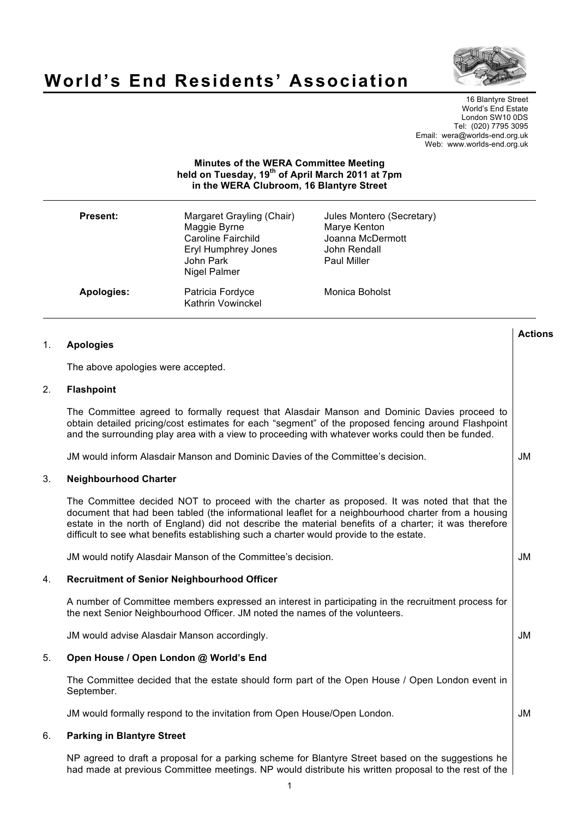

# **World's End Residents' Association**

16 Blantyre Street World's End Estate London SW10 0DS Tel: (020) 7795 3095 Email: wera@worlds-end.org.uk Web: www.worlds-end.org.uk

# **Minutes of the WERA Committee Meeting held on Tuesday, 19th of April March 2011 at 7pm in the WERA Clubroom, 16 Blantyre Street**

| <b>Present:</b>   | Margaret Grayling (Chair)<br>Maggie Byrne<br>Caroline Fairchild<br><b>Eryl Humphrey Jones</b><br>John Park<br>Nigel Palmer | Jules Montero (Secretary)<br>Marye Kenton<br>Joanna McDermott<br>John Rendall<br><b>Paul Miller</b> |  |
|-------------------|----------------------------------------------------------------------------------------------------------------------------|-----------------------------------------------------------------------------------------------------|--|
| <b>Apologies:</b> | Patricia Fordyce<br><b>Kathrin Vowinckel</b>                                                                               | Monica Boholst                                                                                      |  |

# 1. **Apologies**

The above apologies were accepted.

# 2. **Flashpoint**

The Committee agreed to formally request that Alasdair Manson and Dominic Davies proceed to obtain detailed pricing/cost estimates for each "segment" of the proposed fencing around Flashpoint and the surrounding play area with a view to proceeding with whatever works could then be funded.

JM would inform Alasdair Manson and Dominic Davies of the Committee's decision.  $\Box$  JM

# 3. **Neighbourhood Charter**

The Committee decided NOT to proceed with the charter as proposed. It was noted that that the document that had been tabled (the informational leaflet for a neighbourhood charter from a housing estate in the north of England) did not describe the material benefits of a charter; it was therefore difficult to see what benefits establishing such a charter would provide to the estate.

JM would notify Alasdair Manson of the Committee's decision. **JM** Would notify Alasdair Manson of the Committee's decision.

**Actions**

# 4. **Recruitment of Senior Neighbourhood Officer**

A number of Committee members expressed an interest in participating in the recruitment process for the next Senior Neighbourhood Officer. JM noted the names of the volunteers.

JM would advise Alasdair Manson accordingly. JM

# 5. **Open House / Open London @ World's End**

The Committee decided that the estate should form part of the Open House / Open London event in September.

JM would formally respond to the invitation from Open House/Open London.

# 6. **Parking in Blantyre Street**

NP agreed to draft a proposal for a parking scheme for Blantyre Street based on the suggestions he had made at previous Committee meetings. NP would distribute his written proposal to the rest of the